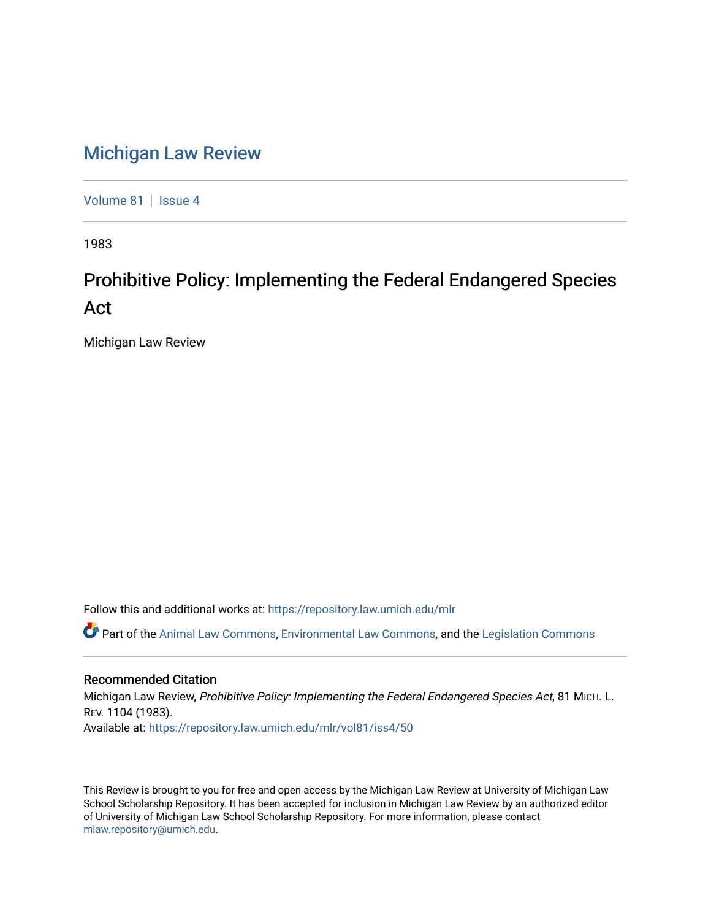## [Michigan Law Review](https://repository.law.umich.edu/mlr)

[Volume 81](https://repository.law.umich.edu/mlr/vol81) | [Issue 4](https://repository.law.umich.edu/mlr/vol81/iss4)

1983

## Prohibitive Policy: Implementing the Federal Endangered Species Act

Michigan Law Review

Follow this and additional works at: [https://repository.law.umich.edu/mlr](https://repository.law.umich.edu/mlr?utm_source=repository.law.umich.edu%2Fmlr%2Fvol81%2Fiss4%2F50&utm_medium=PDF&utm_campaign=PDFCoverPages) 

 $\bullet$  Part of the [Animal Law Commons,](http://network.bepress.com/hgg/discipline/831?utm_source=repository.law.umich.edu%2Fmlr%2Fvol81%2Fiss4%2F50&utm_medium=PDF&utm_campaign=PDFCoverPages) [Environmental Law Commons](http://network.bepress.com/hgg/discipline/599?utm_source=repository.law.umich.edu%2Fmlr%2Fvol81%2Fiss4%2F50&utm_medium=PDF&utm_campaign=PDFCoverPages), and the Legislation Commons

## Recommended Citation

Michigan Law Review, Prohibitive Policy: Implementing the Federal Endangered Species Act, 81 MICH. L. REV. 1104 (1983). Available at: [https://repository.law.umich.edu/mlr/vol81/iss4/50](https://repository.law.umich.edu/mlr/vol81/iss4/50?utm_source=repository.law.umich.edu%2Fmlr%2Fvol81%2Fiss4%2F50&utm_medium=PDF&utm_campaign=PDFCoverPages) 

This Review is brought to you for free and open access by the Michigan Law Review at University of Michigan Law School Scholarship Repository. It has been accepted for inclusion in Michigan Law Review by an authorized editor of University of Michigan Law School Scholarship Repository. For more information, please contact [mlaw.repository@umich.edu.](mailto:mlaw.repository@umich.edu)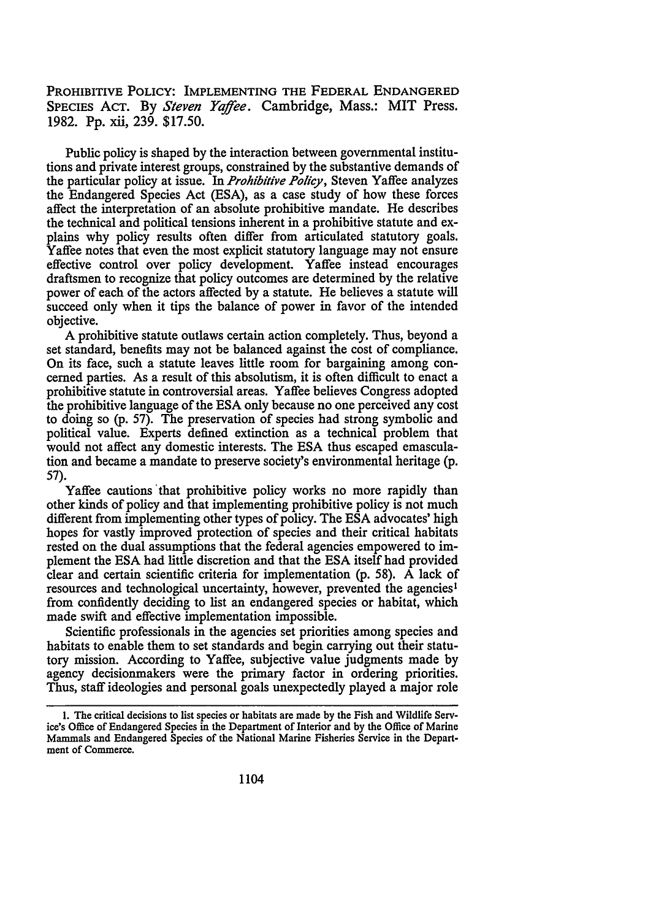PROHIBITIVE POLICY: IMPLEMENTING THE FEDERAL ENDANGERED SPECIES Acr. By *Steven Yajfee.* Cambridge, Mass.: MIT Press. 1982. Pp. xii, 239. \$17.50.

Public policy is shaped by the interaction between governmental institutions and private interest groups, constrained by the substantive demands of the particular policy at issue. In *Prohibitive Policy,* Steven Yaffee analyzes the Endangered Species Act (ESA), as a case study of how these forces affect the interpretation of an absolute prohibitive mandate. He describes the technical and political tensions inherent in a prohibitive statute and explains why policy results often differ from articulated statutory goals. Yaffee notes that even the most explicit statutory language may not ensure effective control over policy development. Yaffee instead encourages draftsmen to recognize that policy outcomes are determined by the relative power of each of the actors affected by a statute. He believes a statute will succeed only when it tips the balance of power in favor of the intended objective.

A prohibitive statute outlaws certain action completely. Thus, beyond a set standard, benefits may not be balanced against the cost of compliance. On its face, such a statute leaves little room for bargaining among concerned parties. As a result of this absolutism, it is often difficult to enact a prohibitive statute in controversial areas. Y affee believes Congress adopted the prohibitive language of the ESA only because no one perceived any cost to doing so (p. 57). The preservation of species had strong symbolic and political value. Experts defined extinction as a technical problem that would not affect any domestic interests. The ESA thus escaped emasculation and became a mandate to preserve society's environmental heritage (p. 57).

Yaffee cautions that prohibitive policy works no more rapidly than other kinds of policy and that implementing prohibitive policy is not much different from implementing other types of policy. The ESA advocates' high hopes for vastly improved protection of species and their critical habitats rested on the dual assumptions that the federal agencies empowered to implement the ESA had little discretion and that the ESA itself had provided clear and certain scientific criteria for implementation (p. 58). A lack of resources and technological uncertainty, however, prevented the agencies<sup>1</sup> from confidently deciding to list an endangered species or habitat, which made swift and effective implementation impossible.

Scientific professionals in the agencies set priorities among species and habitats to enable them to set standards and begin carrying out their statutory mission. According to Yaffee, subjective value judgments made by agency decisionmakers were the primary factor in ordering priorities. Thus, staff ideologies and personal goals unexpectedly played a major role

<sup>1.</sup> The critical decisions to list species or habitats are made by the Fish and Wildlife Service's Office of Endangered Species in the Department of Interior and by the Office of Marine Mammals and Endangered Species of the National Marine Fisheries Service in the Department of Commerce.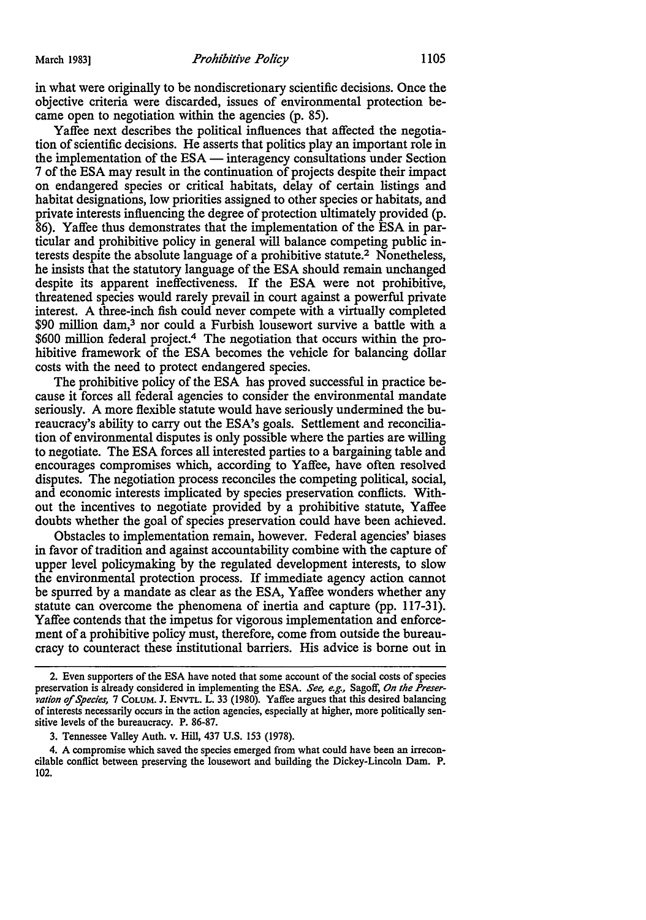in what were originally to be nondiscretionary scientific decisions. Once the objective criteria were discarded, issues of environmental protection became open to negotiation within the agencies (p. 85).

Yaffee next describes the political influences that affected the negotiation of scientific decisions. He asserts that politics play an important role in the implementation of the ESA — interagency consultations under Section 7 of the ESA may result in the continuation of projects despite their impact on endangered species or critical habitats, delay of certain listings and habitat designations, low priorities assigned to other species or habitats, and private interests influencing the degree of protection ultimately provided (p. 86). Yaffee thus demonstrates that the implementation of the ESA in particular and prohibitive policy in general will balance competing public interests despite the absolute language of a prohibitive statute.<sup>2</sup> Nonetheless, he insists that the statutory language of the ESA should remain unchanged despite its apparent ineffectiveness. If the ESA were not prohibitive, threatened species would rarely prevail in court against a powerful private interest. A three-inch fish could never compete with a virtually completed \$90 million dam,<sup>3</sup> nor could a Furbish lousewort survive a battle with a \$600 million federal project.4 The negotiation that occurs within the prohibitive framework of the ESA becomes the vehicle for balancing dollar costs with the need to protect endangered species.

The prohibitive policy of the ESA has proved successful in practice because it forces all federal agencies to consider the environmental mandate seriously. A more flexible statute would have seriously undermined the bureaucracy's ability to carry out the ESA's goals. Settlement and reconciliation of environmental disputes is only possible where the parties are willing to negotiate. The ESA forces all interested parties to a bargaining table and encourages compromises which, according to Yaffee, have often resolved disputes. The negotiation process reconciles the competing political, social, and economic interests implicated by species preservation conflicts. Without the incentives to negotiate provided by a prohibitive statute, Yaffee doubts whether the goal of species preservation could have been achieved.

Obstacles to implementation remain, however. Federal agencies' biases in favor of tradition and against accountability combine with the capture of upper level policymaking by the regulated development interests, to slow the environmental protection process. If immediate agency action cannot be spurred by a mandate as clear as the ESA, Yaffee wonders whether any statute can overcome the phenomena of inertia and capture (pp. 117-31). Yaffee contends that the impetus for vigorous implementation and enforcement of a prohibitive policy must, therefore, come from outside the bureaucracy to counteract these institutional barriers. His advice is borne out in

<sup>2.</sup> Even supporters of the ESA have noted that some account of the social costs of species preservation is already considered in implementing the ESA. *See, e.g.,* Sagoff, *On the Preser*vation of Species, 7 COLUM. J. ENVTL. L. 33 (1980). Yaffee argues that this desired balancing of interests necessarily occurs in the action agencies, especially at higher, more politically sensitive levels of the bureaucracy. P. 86-87.

<sup>3.</sup> Tennessee Valley Auth. v. Hill, 437 U.S. 153 (1978).

<sup>4.</sup> A compromise which saved the species emerged from what could have been an irreconcilable conflict between preserving the lousewort and building the Dickey-Lincoln Dam. P. 102.